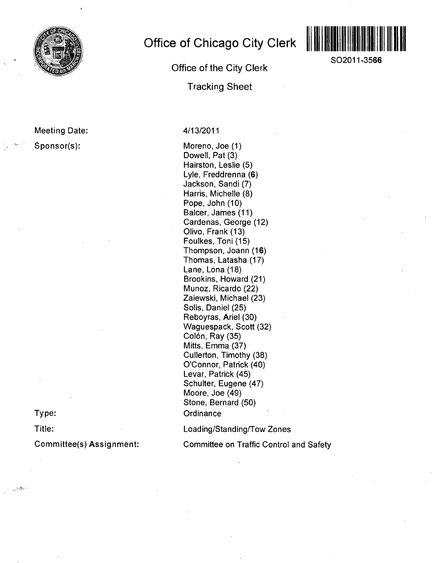

**Meeting Date: Sponsor(s):** 

**Office of Chicago City Clerk** 

**Office of the City Clerk** 

**Tracking Sheet** 



**SO2011-3566** 

#### 4/13/2011

Moreno, Joe (1) Dowell, Pat (3) Hairston, Leslie (5) Lyle, Freddrenna (6) Jackson, Sandi (7) Harris, Michelle (8) Pope, John (10) Balcer, James (11) Cardenas, George (12) Olivo, Frank (13) Foulkes, Toni (15) Thompson, Joann (16) Thomas, Latasha (17) Lane, Lona (18) Brookins, Howard (21) Munoz, Ricardo (22) Zaiewski, Michael (23) Solis, Daniel (25) Reboyras, Ariel (30) Waguespack, Scott (32) Colón, Ray (35) Mitts, Emma (37) Cullerton, Timothy (38) O'Connor, Patnck (40) Levar, Patrick (45) Schulter, Eugene (47) Moore, Joe (49) Stone, Bernard (50) **Ordinance** 

Loading/Standing/Tow Zones

Committee on Traffic Control and Safety

**Type:** 

**Title:** 

 $\sim 25$ 

**Committee(s) Assignment:**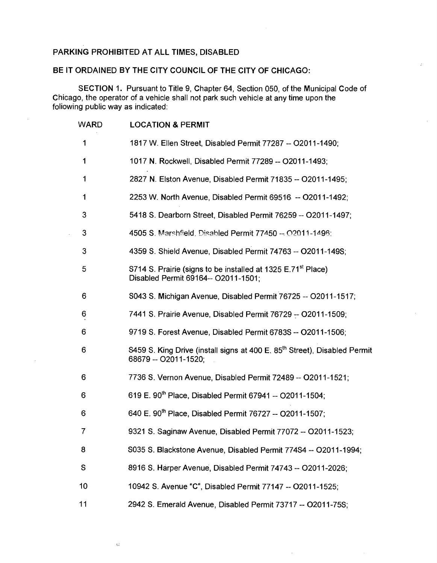### **PARKING PROHIBITED AT ALL TIMES, DISABLED**

 $\bar{\mathcal{G}}$ 

### **BE IT ORDAINED BY THE CITY COUNCIL OF THE CITY OF CHICAGO:**

SECTION 1. Pursuant to Title 9, Chapter 64, Section 050, of the Municipal Code of Chicago, the operator of a vehicle shall not park such vehicle at any time upon the foliowing public way as indicated:

| <b>WARD</b> | <b>LOCATION &amp; PERMIT</b>                                                                                    |
|-------------|-----------------------------------------------------------------------------------------------------------------|
| 1           | 1817 W. Ellen Street, Disabled Permit 77287 -- O2011-1490;                                                      |
| 1           | 1017 N. Rockwell, Disabled Permit 77289 -- O2011-1493;                                                          |
| 1           | 2827 N. Elston Avenue, Disabled Permit 71835 -- O2011-1495;                                                     |
| 1           | 2253 W. North Avenue, Disabled Permit 69516. -- O2011-1492;                                                     |
| 3           | 5418 S. Dearborn Street, Disabled Permit 76259 -- O2011-1497;                                                   |
| 3           | 4505 S. Marshfield, Disabled Permit 77450 -- 02011-1496;                                                        |
| 3           | 4359 S. Shield Avenue, Disabled Permit 74763 -- O2011-149S;                                                     |
| 5           | S714 S. Prairie (signs to be installed at 1325 E.71 <sup>st</sup> Place)<br>Disabled Permit 69164-- O2011-1501; |
| 6           | S043 S. Michigan Avenue, Disabled Permit 76725 -- O2011-1517;                                                   |
| 6           | 7441 S. Prairie Avenue, Disabled Permit 76729 -- O2011-1509;                                                    |
| 6           | 9719 S. Forest Avenue, Disabled Permit 6783S -- O2011-1506;                                                     |
| 6           | S459 S. King Drive (install signs at 400 E. 85 <sup>th</sup> Street), Disabled Permit<br>68679 -- O2011-1520;   |
| 6           | 7736 S. Vernon Avenue, Disabled Permit 72489 -- O2011-1521;                                                     |
| 6           | 619 E. 90 <sup>th</sup> Place, Disabled Permit 67941 -- O2011-1504;                                             |
| 6           | 640 E. 90 <sup>th</sup> Place, Disabled Permit 76727 -- O2011-1507;                                             |
| 7           | 9321 S. Saginaw Avenue, Disabled Permit 77072 -- O2011-1523;                                                    |
| 8           | S035 S. Blackstone Avenue, Disabled Permit 774S4 -- O2011-1994;                                                 |
| S           | 8916 S. Harper Avenue, Disabled Permit 74743 -- O2011-2026;                                                     |
| 10          | 10942 S. Avenue "C", Disabled Permit 77147 -- O2011-1525;                                                       |
| 11          | 2942 S. Emerald Avenue, Disabled Permit 73717 -- 02011-75S;                                                     |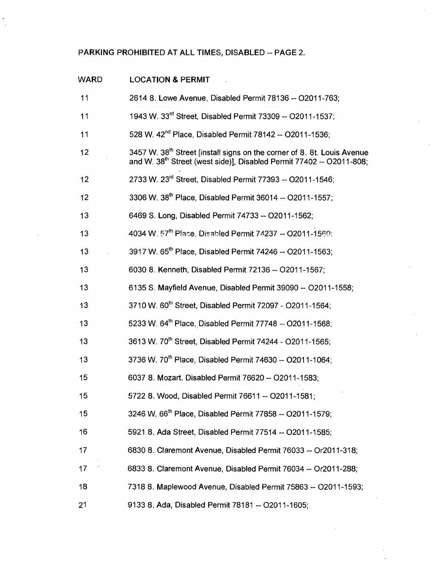## **PARKING PROHIBITED AT ALL TIMES, DISABLED - PAGE 2.**

| <b>WARD</b> | <b>LOCATION &amp; PERMIT</b>                                                                                                                                            |
|-------------|-------------------------------------------------------------------------------------------------------------------------------------------------------------------------|
| 11          | 2614 8. Lowe Avenue, Disabled Permit 78136 -- O2011-763;                                                                                                                |
| 11          | 1943 W. 33 <sup>rd</sup> Street, Disabled Permit 73309 -- O2011-1537;                                                                                                   |
| 11          | 528 W. 42 <sup>nd</sup> Place, Disabled Permit 78142 -- O2011-1536;                                                                                                     |
| 12          | 3457 W. 38 <sup>th</sup> Street [install signs on the corner of 8. 8t. Louis Avenue<br>and W. 38 <sup>th</sup> Street (west side)], Disabled Permit 77402 -- O2011-808; |
| 12          | 2733 W. 23 <sup>rd</sup> Street, Disabled Permit 77393 -- O2011-1546;                                                                                                   |
| 12          | 3306 W. 38 <sup>th</sup> Place, Disabled Permit 36014 -- O2011-1557;                                                                                                    |
| 13          | 6469 S. Long, Disabled Permit 74733 -- O2011-1562;                                                                                                                      |
| 13          | 4034 W. 57th Place, Disabled Permit 74237 -- O2011-1560:                                                                                                                |
| 13          | 3917 W. 65 <sup>th</sup> Place, Disabled Permit 74246 -- O2011-1563;                                                                                                    |
| 13          | 6030 8. Kenneth, Disabled Permit 72136 -- O2011-1567;                                                                                                                   |
| 13          | 6135 S. Mayfield Avenue, Disabled Permit 39090 -- O2011-1558;                                                                                                           |
| 13          | 3710 W. 60 <sup>th</sup> Street, Disabled Permit 72097 - O2011-1564;                                                                                                    |
| 13          | 5233 W. 64 <sup>th</sup> Place, Disabled Permit 77748 -- O2011-1568;                                                                                                    |
| 13          | 3613 W. 70 <sup>th</sup> Street, Disabled Permit 74244 - O2011-1565;                                                                                                    |
| 13          | 3736 W. 70 <sup>th</sup> Place, Disabled Permit 74630 -- O2011-1064;                                                                                                    |
| 15          | 6037 8. Mozart. Disabled Permit 76620 -- O2011-1583;                                                                                                                    |
| 15          | 5722 8. Wood, Disabled Permit 76611 -- O2011-1581;                                                                                                                      |
| 15          | 3246 W. 66 <sup>th</sup> Place, Disabled Permit 77858 -- O2011-1579;                                                                                                    |
| 16          | 5921 8. Ada Street, Disabled Permit 77514 -- O2011-1585;                                                                                                                |
| 17          | 6830 8. Claremont Avenue, Disabled Permit 76033 -- Or2011-318;                                                                                                          |
| 17          | 6833 8. Claremont Avenue, Disabled Permit 76034 -- Or2011-288;                                                                                                          |
| 18          | 7318 8. Maplewood Avenue, Disabled Permit 75863 -- O2011-1593;                                                                                                          |
| 21          | 9133 8. Ada, Disabled Permit 78181 -- O2011-1605;                                                                                                                       |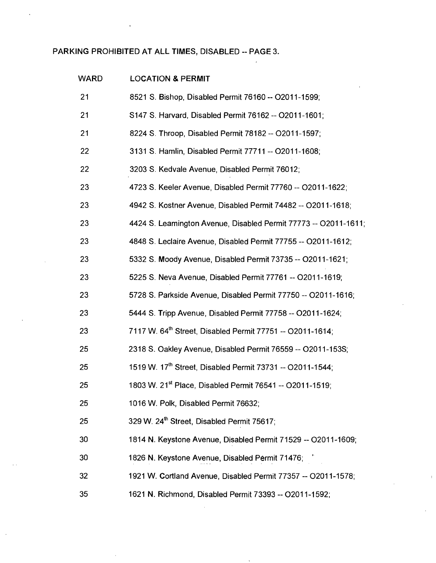# **PARKING PROHIBITED AT ALL TIMES, DISABLED ~ PAGE 3.**

| <b>WARD</b> | <b>LOCATION &amp; PERMIT</b>                                          |
|-------------|-----------------------------------------------------------------------|
| 21          | 8521 S. Bishop, Disabled Permit 76160 -- O2011-1599;                  |
| 21          | S147 S. Harvard, Disabled Permit 76162 -- O2011-1601;                 |
| 21          | 8224 S. Throop, Disabled Permit 78182 -- O2011-1597;                  |
| 22          | 3131 S. Hamlin, Disabled Permit 77711 -- O2011-1608;                  |
| 22          | 3203 S. Kedvale Avenue, Disabled Permit 76012;                        |
| 23          | 4723 S. Keeler Avenue, Disabled Permit 77760 -- O2011-1622;           |
| 23          | 4942 S. Kostner Avenue, Disabled Permit 74482 -- O2011-1618;          |
| 23          | 4424 S. Leamington Avenue, Disabled Permit 77773 -- O2011-1611;       |
| 23          | 4848 S. Leclaire Avenue, Disabled Permit 77755 -- O2011-1612;         |
| 23          | 5332 S. Moody Avenue, Disabled Permit 73735 -- O2011-1621;            |
| 23          | 5225 S. Neva Avenue, Disabled Permit 77761 -- O2011-1619;             |
| 23          | 5728 S. Parkside Avenue, Disabled Permit 77750 -- O2011-1616;         |
| 23          | 5444 S. Tripp Avenue, Disabled Permit 77758 -- O2011-1624;            |
| 23          | 7117 W. 64 <sup>th</sup> Street, Disabled Permit 77751 -- O2011-1614; |
| 25          | 2318 S. Oakley Avenue, Disabled Permit 76559 -- O2011-153S;           |
| 25          | 1519 W. 17th Street, Disabled Permit 73731 -- O2011-1544;             |
| 25          | 1803 W. 21 <sup>st</sup> Place, Disabled Permit 76541 -- O2011-1519;  |
| 25          | 1016 W. Polk, Disabled Permit 76632;                                  |
| 25          | 329 W. 24th Street, Disabled Permit 75617;                            |
| 30          | 1814 N. Keystone Avenue, Disabled Permit 71529 -- O2011-1609;         |
| 30          | 1826 N. Keystone Avenue, Disabled Permit 71476;                       |
| 32          | 1921 W. Cortland Avenue, Disabled Permit 77357 -- O2011-1578;         |
| 35          | 1621 N. Richmond, Disabled Permit 73393 -- O2011-1592;                |

 $\overline{a}$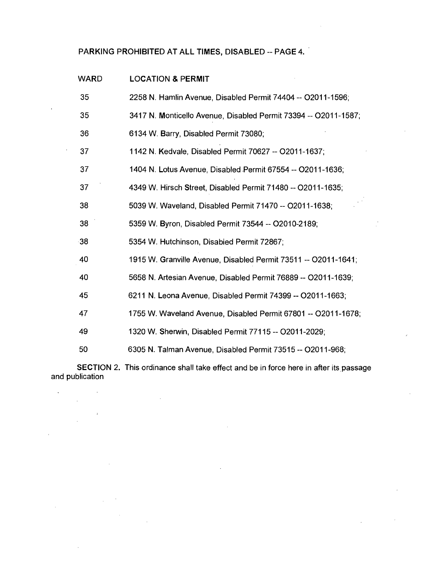### **PARKING PROHIBITED AT ALL TIMES, DISABLED - PAGE 4.**

| <b>LOCATION &amp; PERMIT</b>                                    |
|-----------------------------------------------------------------|
| 2258 N. Hamlin Avenue, Disabled Permit 74404 -- O2011-1596;     |
| 3417 N. Monticello Avenue, Disabled Permit 73394 -- O2011-1587; |
| 6134 W. Barry, Disabled Permit 73080;                           |
| 1142 N. Kedvale, Disabled Permit 70627 -- O2011-1637;           |
| 1404 N. Lotus Avenue, Disabled Permit 67554 -- 02011-1636;      |
| 4349 W. Hirsch Street, Disabled Permit 71480 -- O2011-1635;     |
| 5039 W. Waveland, Disabled Permit 71470 -- O2011-1638;          |
| 5359 W. Byron, Disabled Permit 73544 -- O2010-2189;             |
| 5354 W. Hutchinson, Disabied Permit 72867;                      |
| 1915 W. Granville Avenue, Disabled Permit 73511 -- O2011-1641;  |
| 5658 N. Artesian Avenue, Disabled Permit 76889 -- O2011-1639;   |
| 6211 N. Leona Avenue, Disabled Permit 74399 -- O2011-1663;      |
| 1755 W. Waveland Avenue, Disabled Permit 67801 -- O2011-1678;   |
| 1320 W. Shenwin, Disabled Permit 77115 -- O2011-2029;           |
| 6305 N. Talman Avenue, Disabled Permit 73515 -- O2011-968;      |
|                                                                 |

SECTION 2. This ordinance shall take effect and be in force here in after its passage and publication

 $\hat{\mathcal{A}}$ 

 $\sim 10^{-10}$ 

 $\sim 10^{11}$ 

 $\label{eq:2.1} \frac{1}{\sqrt{2\pi}}\int_{0}^{\pi} \frac{dx}{\sqrt{2\pi}}\,dx$ 

 $\sim 100$ 

 $\mathcal{A}^{\mathcal{A}}$